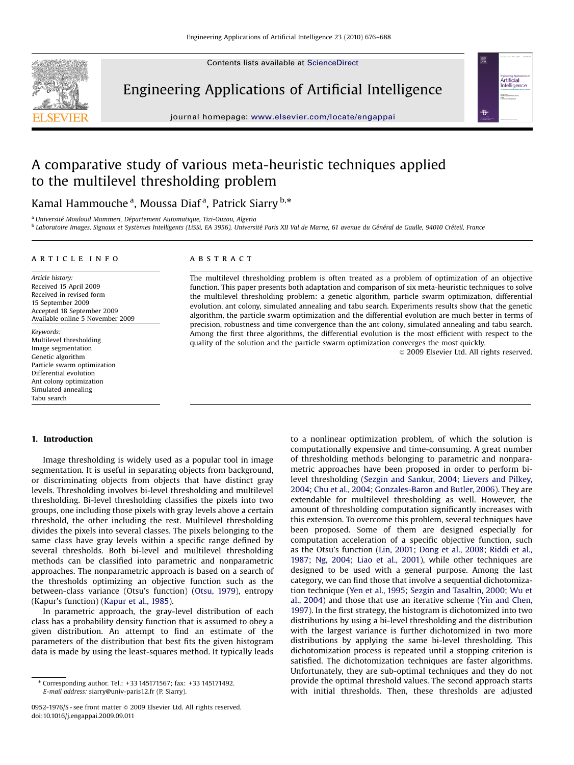

Contents lists available at ScienceDirect

### Engineering Applications of Artificial Intelligence



journal homepage: <www.elsevier.com/locate/engappai>

## A comparative study of various meta-heuristic techniques applied to the multilevel thresholding problem

### Kamal Hammouche <sup>a</sup>, Moussa Diaf <sup>a</sup>, Patrick Siarry <sup>b,</sup>\*

<sup>a</sup> Université Mouloud Mammeri, Département Automatique, Tizi-Ouzou, Algeria

<sup>b</sup> Laboratoire Images, Signaux et Systèmes Intelligents (LiSSi, EA 3956), Université Paris XII Val de Marne, 61 avenue du Général de Gaulle, 94010 Créteil, France

#### article info

Article history: Received 15 April 2009 Received in revised form 15 September 2009 Accepted 18 September 2009 Available online 5 November 2009

Keywords: Multilevel thresholding Image segmentation Genetic algorithm Particle swarm optimization Differential evolution Ant colony optimization Simulated annealing Tabu search

#### **ABSTRACT**

The multilevel thresholding problem is often treated as a problem of optimization of an objective function. This paper presents both adaptation and comparison of six meta-heuristic techniques to solve the multilevel thresholding problem: a genetic algorithm, particle swarm optimization, differential evolution, ant colony, simulated annealing and tabu search. Experiments results show that the genetic algorithm, the particle swarm optimization and the differential evolution are much better in terms of precision, robustness and time convergence than the ant colony, simulated annealing and tabu search. Among the first three algorithms, the differential evolution is the most efficient with respect to the quality of the solution and the particle swarm optimization converges the most quickly.

 $\odot$  2009 Elsevier Ltd. All rights reserved.

#### 1. Introduction

Image thresholding is widely used as a popular tool in image segmentation. It is useful in separating objects from background, or discriminating objects from objects that have distinct gray levels. Thresholding involves bi-level thresholding and multilevel thresholding. Bi-level thresholding classifies the pixels into two groups, one including those pixels with gray levels above a certain threshold, the other including the rest. Multilevel thresholding divides the pixels into several classes. The pixels belonging to the same class have gray levels within a specific range defined by several thresholds. Both bi-level and multilevel thresholding methods can be classified into parametric and nonparametric approaches. The nonparametric approach is based on a search of the thresholds optimizing an objective function such as the between-class variance (Otsu's function) [\(Otsu, 1979\)](#page--1-0), entropy (Kapur's function) ([Kapur et al., 1985](#page--1-0)).

In parametric approach, the gray-level distribution of each class has a probability density function that is assumed to obey a given distribution. An attempt to find an estimate of the parameters of the distribution that best fits the given histogram data is made by using the least-squares method. It typically leads to a nonlinear optimization problem, of which the solution is computationally expensive and time-consuming. A great number of thresholding methods belonging to parametric and nonparametric approaches have been proposed in order to perform bilevel thresholding ([Sezgin and Sankur, 2004](#page--1-0); [Lievers and Pilkey,](#page--1-0) [2004](#page--1-0); [Chu et al., 2004](#page--1-0); [Gonzales-Baron and Butler, 2006\)](#page--1-0). They are extendable for multilevel thresholding as well. However, the amount of thresholding computation significantly increases with this extension. To overcome this problem, several techniques have been proposed. Some of them are designed especially for computation acceleration of a specific objective function, such as the Otsu's function [\(Lin, 2001](#page--1-0); [Dong et al., 2008](#page--1-0); [Riddi et al.,](#page--1-0) [1987](#page--1-0); [Ng, 2004;](#page--1-0) [Liao et al., 2001](#page--1-0)), while other techniques are designed to be used with a general purpose. Among the last category, we can find those that involve a sequential dichotomization technique ([Yen et al., 1995;](#page--1-0) [Sezgin and Tasaltin, 2000;](#page--1-0) [Wu et](#page--1-0) [al., 2004\)](#page--1-0) and those that use an iterative scheme ([Yin and Chen,](#page--1-0) [1997](#page--1-0)). In the first strategy, the histogram is dichotomized into two distributions by using a bi-level thresholding and the distribution with the largest variance is further dichotomized in two more distributions by applying the same bi-level thresholding. This dichotomization process is repeated until a stopping criterion is satisfied. The dichotomization techniques are faster algorithms. Unfortunately, they are sub-optimal techniques and they do not provide the optimal threshold values. The second approach starts with initial thresholds. Then, these thresholds are adjusted

<sup>-</sup> Corresponding author. Tel.: +33 145171567; fax: +33 145171492. E-mail address: [siarry@univ-paris12.fr \(P. Siarry\)](mailto:siarry@univ-paris12.fr).

<sup>0952-1976/\$ -</sup> see front matter @ 2009 Elsevier Ltd. All rights reserved. doi:[10.1016/j.engappai.2009.09.011](dx.doi.org/10.1016/j.engappai.2009.09.011)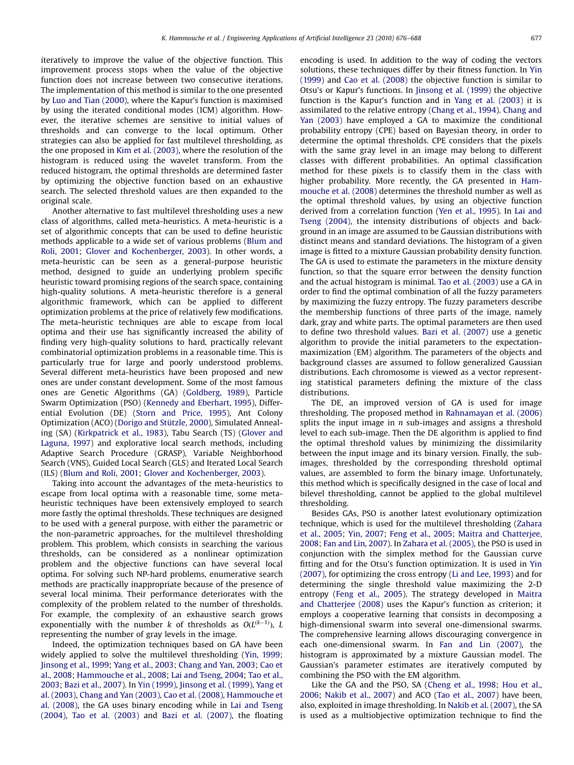iteratively to improve the value of the objective function. This improvement process stops when the value of the objective function does not increase between two consecutive iterations. The implementation of this method is similar to the one presented by [Luo and Tian \(2000\),](#page--1-0) where the Kapur's function is maximised by using the iterated conditional modes (ICM) algorithm. However, the iterative schemes are sensitive to initial values of thresholds and can converge to the local optimum. Other strategies can also be applied for fast multilevel thresholding, as the one proposed in [Kim et al. \(2003\)](#page--1-0), where the resolution of the histogram is reduced using the wavelet transform. From the reduced histogram, the optimal thresholds are determined faster by optimizing the objective function based on an exhaustive search. The selected threshold values are then expanded to the original scale.

Another alternative to fast multilevel thresholding uses a new class of algorithms, called meta-heuristics. A meta-heuristic is a set of algorithmic concepts that can be used to define heuristic methods applicable to a wide set of various problems [\(Blum and](#page--1-0) [Roli, 2001](#page--1-0); [Glover and Kochenberger, 2003](#page--1-0)). In other words, a meta-heuristic can be seen as a general-purpose heuristic method, designed to guide an underlying problem specific heuristic toward promising regions of the search space, containing high-quality solutions. A meta-heuristic therefore is a general algorithmic framework, which can be applied to different optimization problems at the price of relatively few modifications. The meta-heuristic techniques are able to escape from local optima and their use has significantly increased the ability of finding very high-quality solutions to hard, practically relevant combinatorial optimization problems in a reasonable time. This is particularly true for large and poorly understood problems. Several different meta-heuristics have been proposed and new ones are under constant development. Some of the most famous ones are Genetic Algorithms (GA) [\(Goldberg, 1989](#page--1-0)), Particle Swarm Optimization (PSO) [\(Kennedy and Eberhart, 1995](#page--1-0)), Differential Evolution (DE) [\(Storn and Price, 1995](#page--1-0)), Ant Colony Optimization (ACO) (Dorigo and Stützle, 2000), Simulated Annealing (SA) ([Kirkpatrick et al., 1983\)](#page--1-0), Tabu Search (TS) ([Glover and](#page--1-0) [Laguna, 1997](#page--1-0)) and explorative local search methods, including Adaptive Search Procedure (GRASP), Variable Neighborhood Search (VNS), Guided Local Search (GLS) and Iterated Local Search (ILS) ([Blum and Roli, 2001;](#page--1-0) [Glover and Kochenberger, 2003\)](#page--1-0).

Taking into account the advantages of the meta-heuristics to escape from local optima with a reasonable time, some metaheuristic techniques have been extensively employed to search more fastly the optimal thresholds. These techniques are designed to be used with a general purpose, with either the parametric or the non-parametric approaches, for the multilevel thresholding problem. This problem, which consists in searching the various thresholds, can be considered as a nonlinear optimization problem and the objective functions can have several local optima. For solving such NP-hard problems, enumerative search methods are practically inappropriate because of the presence of several local minima. Their performance deteriorates with the complexity of the problem related to the number of thresholds. For example, the complexity of an exhaustive search grows exponentially with the number k of thresholds as  $O(L^{(k-1)})$ , L representing the number of gray levels in the image.

Indeed, the optimization techniques based on GA have been widely applied to solve the multilevel thresholding [\(Yin, 1999;](#page--1-0) [Jinsong et al., 1999](#page--1-0); [Yang et al., 2003](#page--1-0); [Chang and Yan, 2003;](#page--1-0) [Cao et](#page--1-0) [al., 2008;](#page--1-0) [Hammouche et al., 2008;](#page--1-0) [Lai and Tseng, 2004;](#page--1-0) [Tao et al.,](#page--1-0) [2003;](#page--1-0) [Bazi et al., 2007](#page--1-0)). In [Yin \(1999\),](#page--1-0) [Jinsong et al. \(1999\),](#page--1-0) [Yang et](#page--1-0) [al. \(2003\),](#page--1-0) [Chang and Yan \(2003\)](#page--1-0), [Cao et al. \(2008\)](#page--1-0), [Hammouche et](#page--1-0) [al. \(2008\)](#page--1-0), the GA uses binary encoding while in [Lai and Tseng](#page--1-0) [\(2004\)](#page--1-0), [Tao et al. \(2003\)](#page--1-0) and [Bazi et al. \(2007\)](#page--1-0), the floating encoding is used. In addition to the way of coding the vectors solutions, these techniques differ by their fitness function. In [Yin](#page--1-0) [\(1999\)](#page--1-0) and [Cao et al. \(2008\)](#page--1-0) the objective function is similar to Otsu's or Kapur's functions. In [Jinsong et al. \(1999\)](#page--1-0) the objective function is the Kapur's function and in [Yang et al. \(2003\)](#page--1-0) it is assimilated to the relative entropy ([Chang et al., 1994\)](#page--1-0). [Chang and](#page--1-0) [Yan \(2003\)](#page--1-0) have employed a GA to maximize the conditional probability entropy (CPE) based on Bayesian theory, in order to determine the optimal thresholds. CPE considers that the pixels with the same gray level in an image may belong to different classes with different probabilities. An optimal classification method for these pixels is to classify them in the class with higher probability. More recently, the GA presented in [Ham](#page--1-0)[mouche et al. \(2008\)](#page--1-0) determines the threshold number as well as the optimal threshold values, by using an objective function derived from a correlation function ([Yen et al., 1995](#page--1-0)). In [Lai and](#page--1-0) [Tseng \(2004\),](#page--1-0) the intensity distributions of objects and background in an image are assumed to be Gaussian distributions with distinct means and standard deviations. The histogram of a given image is fitted to a mixture Gaussian probability density function. The GA is used to estimate the parameters in the mixture density function, so that the square error between the density function and the actual histogram is minimal. [Tao et al. \(2003\)](#page--1-0) use a GA in order to find the optimal combination of all the fuzzy parameters by maximizing the fuzzy entropy. The fuzzy parameters describe the membership functions of three parts of the image, namely dark, gray and white parts. The optimal parameters are then used to define two threshold values. [Bazi et al. \(2007\)](#page--1-0) use a genetic algorithm to provide the initial parameters to the expectationmaximization (EM) algorithm. The parameters of the objects and background classes are assumed to follow generalized Gaussian distributions. Each chromosome is viewed as a vector representing statistical parameters defining the mixture of the class distributions.

The DE, an improved version of GA is used for image thresholding. The proposed method in [Rahnamayan et al. \(2006\)](#page--1-0) splits the input image in  $n$  sub-images and assigns a threshold level to each sub-image. Then the DE algorithm is applied to find the optimal threshold values by minimizing the dissimilarity between the input image and its binary version. Finally, the subimages, thresholded by the corresponding threshold optimal values, are assembled to form the binary image. Unfortunately, this method which is specifically designed in the case of local and bilevel thresholding, cannot be applied to the global multilevel thresholding.

Besides GAs, PSO is another latest evolutionary optimization technique, which is used for the multilevel thresholding ([Zahara](#page--1-0) [et al., 2005](#page--1-0); [Yin, 2007](#page--1-0); [Feng et al., 2005](#page--1-0); [Maitra and Chatterjee,](#page--1-0) [2008;](#page--1-0) [Fan and Lin, 2007](#page--1-0)). In [Zahara et al. \(2005\),](#page--1-0) the PSO is used in conjunction with the simplex method for the Gaussian curve fitting and for the Otsu's function optimization. It is used in [Yin](#page--1-0) [\(2007\),](#page--1-0) for optimizing the cross entropy [\(Li and Lee, 1993\)](#page--1-0) and for determining the single threshold value maximizing the 2-D entropy ([Feng et al., 2005\)](#page--1-0). The strategy developed in [Maitra](#page--1-0) [and Chatterjee \(2008\)](#page--1-0) uses the Kapur's function as criterion; it employs a cooperative learning that consists in decomposing a high-dimensional swarm into several one-dimensional swarms. The comprehensive learning allows discouraging convergence in each one-dimensional swarm. In [Fan and Lin \(2007\)](#page--1-0), the histogram is approximated by a mixture Gaussian model. The Gaussian's parameter estimates are iteratively computed by combining the PSO with the EM algorithm.

Like the GA and the PSO, SA ([Cheng et al., 1998;](#page--1-0) [Hou et al.,](#page--1-0) [2006;](#page--1-0) [Nakib et al., 2007](#page--1-0)) and ACO ([Tao et al., 2007\)](#page--1-0) have been, also, exploited in image thresholding. In [Nakib et al. \(2007\),](#page--1-0) the SA is used as a multiobjective optimization technique to find the